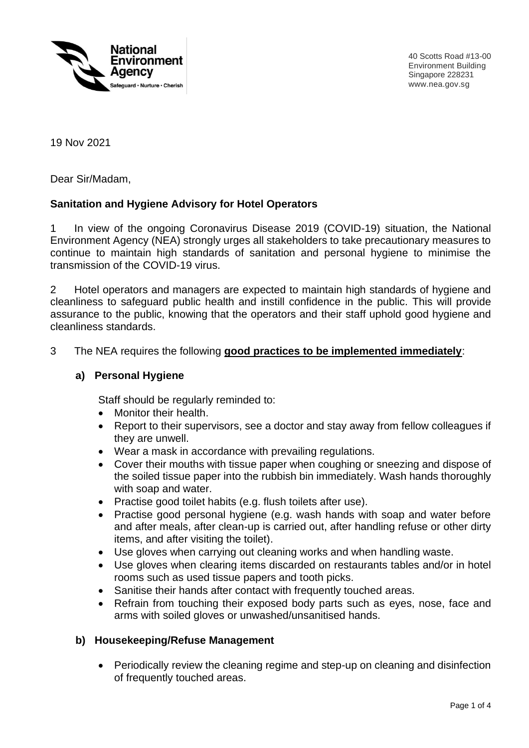

40 Scotts Road #13-00 Environment Building Singapore 228231 www.nea.gov.sg

19 Nov 2021

Dear Sir/Madam,

### **Sanitation and Hygiene Advisory for Hotel Operators**

1 In view of the ongoing Coronavirus Disease 2019 (COVID-19) situation, the National Environment Agency (NEA) strongly urges all stakeholders to take precautionary measures to continue to maintain high standards of sanitation and personal hygiene to minimise the transmission of the COVID-19 virus.

2 Hotel operators and managers are expected to maintain high standards of hygiene and cleanliness to safeguard public health and instill confidence in the public. This will provide assurance to the public, knowing that the operators and their staff uphold good hygiene and cleanliness standards.

#### 3 The NEA requires the following **good practices to be implemented immediately**:

#### **a) Personal Hygiene**

Staff should be regularly reminded to:

- Monitor their health.
- Report to their supervisors, see a doctor and stay away from fellow colleagues if they are unwell.
- Wear a mask in accordance with prevailing regulations.
- Cover their mouths with tissue paper when coughing or sneezing and dispose of the soiled tissue paper into the rubbish bin immediately. Wash hands thoroughly with soap and water.
- Practise good toilet habits (e.g. flush toilets after use).
- Practise good personal hygiene (e.g. wash hands with soap and water before and after meals, after clean-up is carried out, after handling refuse or other dirty items, and after visiting the toilet).
- Use gloves when carrying out cleaning works and when handling waste.
- Use gloves when clearing items discarded on restaurants tables and/or in hotel rooms such as used tissue papers and tooth picks.
- Sanitise their hands after contact with frequently touched areas.
- Refrain from touching their exposed body parts such as eyes, nose, face and arms with soiled gloves or unwashed/unsanitised hands.

#### **b) Housekeeping/Refuse Management**

• Periodically review the cleaning regime and step-up on cleaning and disinfection of frequently touched areas.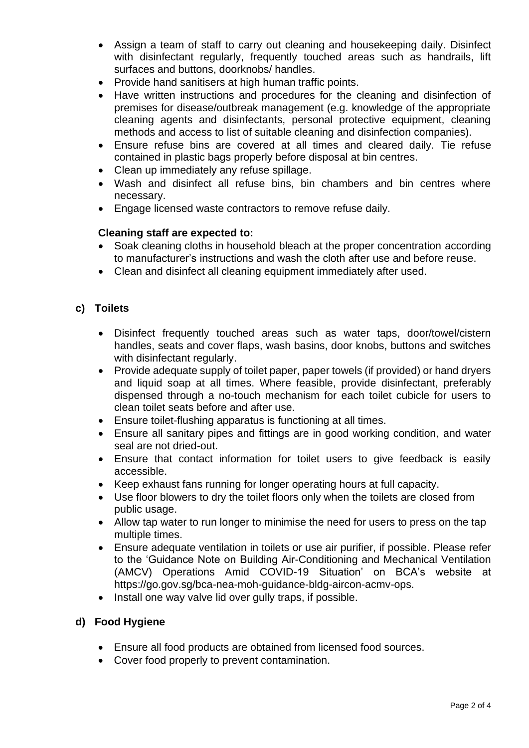- Assign a team of staff to carry out cleaning and housekeeping daily. Disinfect with disinfectant regularly, frequently touched areas such as handrails, lift surfaces and buttons, doorknobs/ handles.
- Provide hand sanitisers at high human traffic points.
- Have written instructions and procedures for the cleaning and disinfection of premises for disease/outbreak management (e.g. knowledge of the appropriate cleaning agents and disinfectants, personal protective equipment, cleaning methods and access to list of suitable cleaning and disinfection companies).
- Ensure refuse bins are covered at all times and cleared daily. Tie refuse contained in plastic bags properly before disposal at bin centres.
- Clean up immediately any refuse spillage.
- Wash and disinfect all refuse bins, bin chambers and bin centres where necessary.
- Engage licensed waste contractors to remove refuse daily.

### **Cleaning staff are expected to:**

- Soak cleaning cloths in household bleach at the proper concentration according to manufacturer's instructions and wash the cloth after use and before reuse.
- Clean and disinfect all cleaning equipment immediately after used.

# **c) Toilets**

- Disinfect frequently touched areas such as water taps, door/towel/cistern handles, seats and cover flaps, wash basins, door knobs, buttons and switches with disinfectant regularly.
- Provide adequate supply of toilet paper, paper towels (if provided) or hand dryers and liquid soap at all times. Where feasible, provide disinfectant, preferably dispensed through a no-touch mechanism for each toilet cubicle for users to clean toilet seats before and after use.
- Ensure toilet-flushing apparatus is functioning at all times.
- Ensure all sanitary pipes and fittings are in good working condition, and water seal are not dried-out.
- Ensure that contact information for toilet users to give feedback is easily accessible.
- Keep exhaust fans running for longer operating hours at full capacity.
- Use floor blowers to dry the toilet floors only when the toilets are closed from public usage.
- Allow tap water to run longer to minimise the need for users to press on the tap multiple times.
- Ensure adequate ventilation in toilets or use air purifier, if possible. Please refer to the 'Guidance Note on Building Air-Conditioning and Mechanical Ventilation (AMCV) Operations Amid COVID-19 Situation' on BCA's website at https://go.gov.sg/bca-nea-moh-guidance-bldg-aircon-acmv-ops.
- Install one way valve lid over gully traps, if possible.

# **d) Food Hygiene**

- Ensure all food products are obtained from licensed food sources.
- Cover food properly to prevent contamination.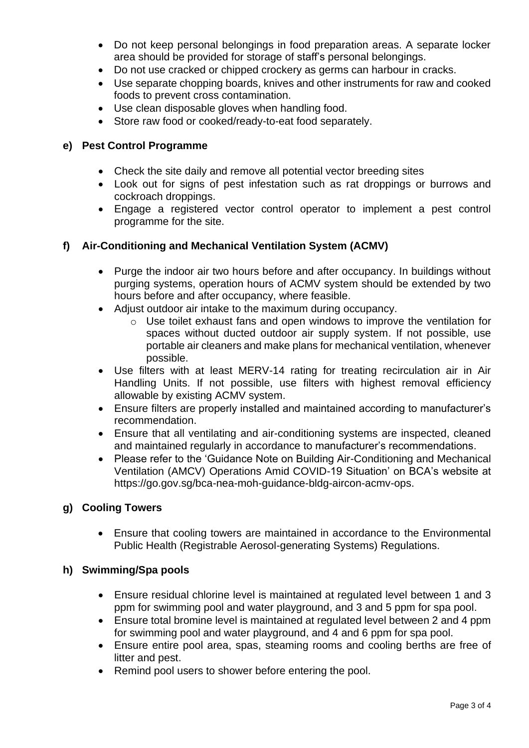- Do not keep personal belongings in food preparation areas. A separate locker area should be provided for storage of staff's personal belongings.
- Do not use cracked or chipped crockery as germs can harbour in cracks.
- Use separate chopping boards, knives and other instruments for raw and cooked foods to prevent cross contamination.
- Use clean disposable gloves when handling food.
- Store raw food or cooked/ready-to-eat food separately.

### **e) Pest Control Programme**

- Check the site daily and remove all potential vector breeding sites
- Look out for signs of pest infestation such as rat droppings or burrows and cockroach droppings.
- Engage a registered vector control operator to implement a pest control programme for the site.

### **f) Air-Conditioning and Mechanical Ventilation System (ACMV)**

- Purge the indoor air two hours before and after occupancy. In buildings without purging systems, operation hours of ACMV system should be extended by two hours before and after occupancy, where feasible.
- Adjust outdoor air intake to the maximum during occupancy.
	- o Use toilet exhaust fans and open windows to improve the ventilation for spaces without ducted outdoor air supply system. If not possible, use portable air cleaners and make plans for mechanical ventilation, whenever possible.
- Use filters with at least MERV-14 rating for treating recirculation air in Air Handling Units. If not possible, use filters with highest removal efficiency allowable by existing ACMV system.
- Ensure filters are properly installed and maintained according to manufacturer's recommendation.
- Ensure that all ventilating and air-conditioning systems are inspected, cleaned and maintained regularly in accordance to manufacturer's recommendations.
- Please refer to the 'Guidance Note on Building Air-Conditioning and Mechanical Ventilation (AMCV) Operations Amid COVID-19 Situation' on BCA's website at https://go.gov.sg/bca-nea-moh-guidance-bldg-aircon-acmv-ops.

#### **g) Cooling Towers**

• Ensure that cooling towers are maintained in accordance to the Environmental Public Health (Registrable Aerosol-generating Systems) Regulations.

#### **h) Swimming/Spa pools**

- Ensure residual chlorine level is maintained at regulated level between 1 and 3 ppm for swimming pool and water playground, and 3 and 5 ppm for spa pool.
- Ensure total bromine level is maintained at regulated level between 2 and 4 ppm for swimming pool and water playground, and 4 and 6 ppm for spa pool.
- Ensure entire pool area, spas, steaming rooms and cooling berths are free of litter and pest.
- Remind pool users to shower before entering the pool.